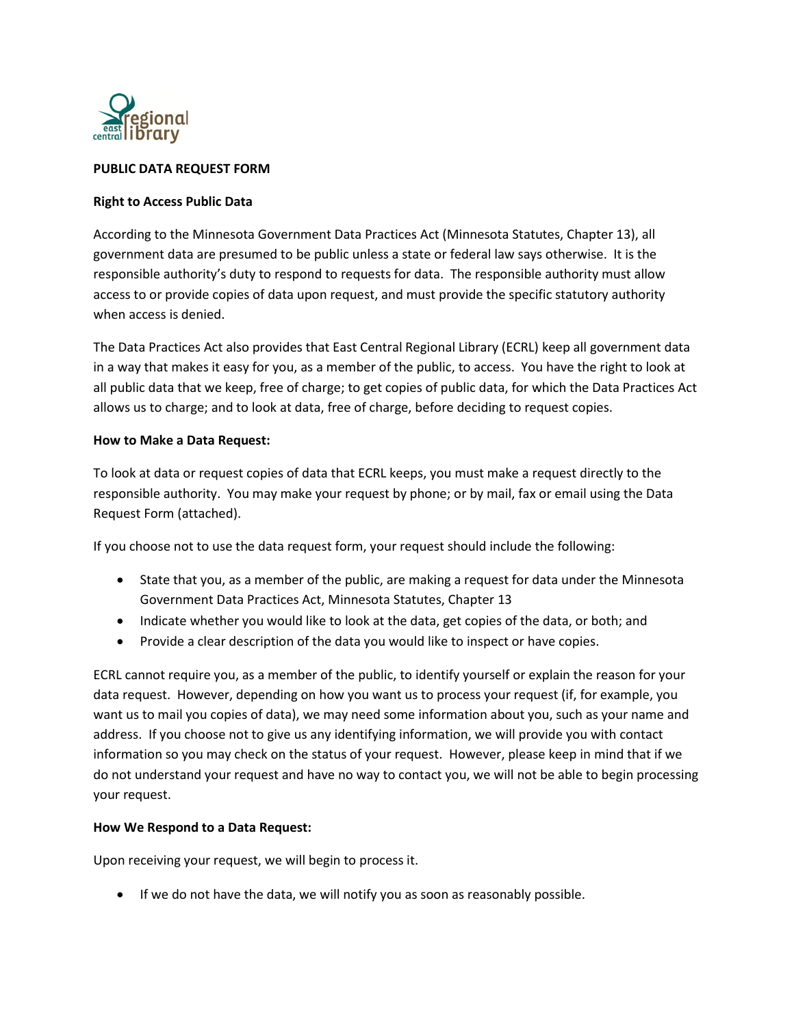

## **PUBLIC DATA REQUEST FORM**

#### **Right to Access Public Data**

According to the Minnesota Government Data Practices Act (Minnesota Statutes, Chapter 13), all government data are presumed to be public unless a state or federal law says otherwise. It is the responsible authority's duty to respond to requests for data. The responsible authority must allow access to or provide copies of data upon request, and must provide the specific statutory authority when access is denied.

The Data Practices Act also provides that East Central Regional Library (ECRL) keep all government data in a way that makes it easy for you, as a member of the public, to access. You have the right to look at all public data that we keep, free of charge; to get copies of public data, for which the Data Practices Act allows us to charge; and to look at data, free of charge, before deciding to request copies.

### **How to Make a Data Request:**

To look at data or request copies of data that ECRL keeps, you must make a request directly to the responsible authority. You may make your request by phone; or by mail, fax or email using the Data Request Form (attached).

If you choose not to use the data request form, your request should include the following:

- State that you, as a member of the public, are making a request for data under the Minnesota Government Data Practices Act, Minnesota Statutes, Chapter 13
- Indicate whether you would like to look at the data, get copies of the data, or both; and
- Provide a clear description of the data you would like to inspect or have copies.

ECRL cannot require you, as a member of the public, to identify yourself or explain the reason for your data request. However, depending on how you want us to process your request (if, for example, you want us to mail you copies of data), we may need some information about you, such as your name and address. If you choose not to give us any identifying information, we will provide you with contact information so you may check on the status of your request. However, please keep in mind that if we do not understand your request and have no way to contact you, we will not be able to begin processing your request.

# **How We Respond to a Data Request:**

Upon receiving your request, we will begin to process it.

• If we do not have the data, we will notify you as soon as reasonably possible.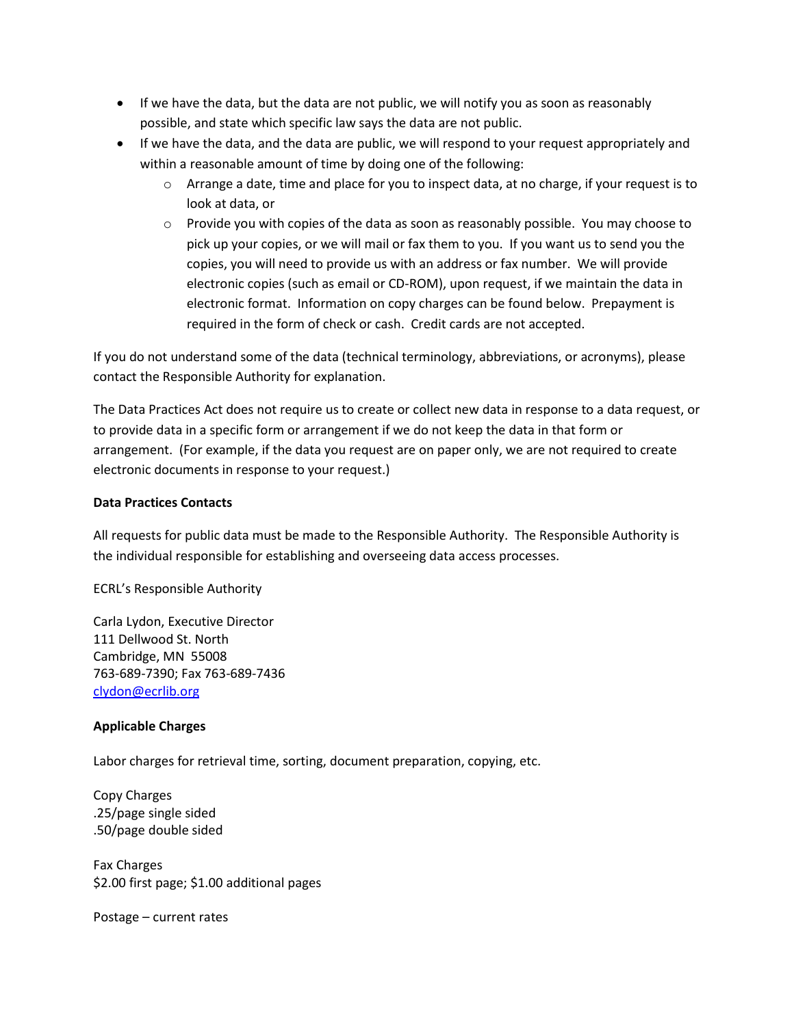- If we have the data, but the data are not public, we will notify you as soon as reasonably possible, and state which specific law says the data are not public.
- If we have the data, and the data are public, we will respond to your request appropriately and within a reasonable amount of time by doing one of the following:
	- o Arrange a date, time and place for you to inspect data, at no charge, if your request is to look at data, or
	- $\circ$  Provide you with copies of the data as soon as reasonably possible. You may choose to pick up your copies, or we will mail or fax them to you. If you want us to send you the copies, you will need to provide us with an address or fax number. We will provide electronic copies (such as email or CD-ROM), upon request, if we maintain the data in electronic format. Information on copy charges can be found below. Prepayment is required in the form of check or cash. Credit cards are not accepted.

If you do not understand some of the data (technical terminology, abbreviations, or acronyms), please contact the Responsible Authority for explanation.

The Data Practices Act does not require us to create or collect new data in response to a data request, or to provide data in a specific form or arrangement if we do not keep the data in that form or arrangement. (For example, if the data you request are on paper only, we are not required to create electronic documents in response to your request.)

# **Data Practices Contacts**

All requests for public data must be made to the Responsible Authority. The Responsible Authority is the individual responsible for establishing and overseeing data access processes.

ECRL's Responsible Authority

Carla Lydon, Executive Director 111 Dellwood St. North Cambridge, MN 55008 763-689-7390; Fax 763-689-7436 [clydon@ecrlib.org](mailto:bmisselt@ecrlib.org)

# **Applicable Charges**

Labor charges for retrieval time, sorting, document preparation, copying, etc.

Copy Charges .25/page single sided .50/page double sided

Fax Charges \$2.00 first page; \$1.00 additional pages

Postage – current rates